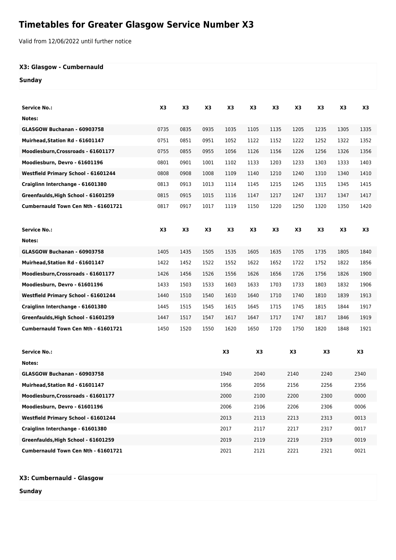## **Timetables for Greater Glasgow Service Number X3**

Valid from 12/06/2022 until further notice

## **X3: Glasgow - Cumbernauld**

## **Sunday**

| Service No.:                        | X3   | X3             | X3   | X3   | X3   | X <sub>3</sub> | X3   | X3   | X3   | X3   |
|-------------------------------------|------|----------------|------|------|------|----------------|------|------|------|------|
| Notes:                              |      |                |      |      |      |                |      |      |      |      |
| GLASGOW Buchanan - 60903758         | 0735 | 0835           | 0935 | 1035 | 1105 | 1135           | 1205 | 1235 | 1305 | 1335 |
| Muirhead, Station Rd - 61601147     | 0751 | 0851           | 0951 | 1052 | 1122 | 1152           | 1222 | 1252 | 1322 | 1352 |
| Moodiesburn, Crossroads - 61601177  | 0755 | 0855           | 0955 | 1056 | 1126 | 1156           | 1226 | 1256 | 1326 | 1356 |
| Moodiesburn, Devro - 61601196       | 0801 | 0901           | 1001 | 1102 | 1133 | 1203           | 1233 | 1303 | 1333 | 1403 |
| Westfield Primary School - 61601244 | 0808 | 0908           | 1008 | 1109 | 1140 | 1210           | 1240 | 1310 | 1340 | 1410 |
| Craiglinn Interchange - 61601380    | 0813 | 0913           | 1013 | 1114 | 1145 | 1215           | 1245 | 1315 | 1345 | 1415 |
| Greenfaulds, High School - 61601259 | 0815 | 0915           | 1015 | 1116 | 1147 | 1217           | 1247 | 1317 | 1347 | 1417 |
| Cumbernauld Town Cen Nth - 61601721 | 0817 | 0917           | 1017 | 1119 | 1150 | 1220           | 1250 | 1320 | 1350 | 1420 |
| <b>Service No.:</b>                 | X3   | X <sub>3</sub> | X3   | X3   | X3   | X3             | X3   | X3   | X3   | X3   |
| Notes:                              |      |                |      |      |      |                |      |      |      |      |
| GLASGOW Buchanan - 60903758         | 1405 | 1435           | 1505 | 1535 | 1605 | 1635           | 1705 | 1735 | 1805 | 1840 |
| Muirhead, Station Rd - 61601147     | 1422 | 1452           | 1522 | 1552 | 1622 | 1652           | 1722 | 1752 | 1822 | 1856 |
| Moodiesburn, Crossroads - 61601177  | 1426 | 1456           | 1526 | 1556 | 1626 | 1656           | 1726 | 1756 | 1826 | 1900 |
| Moodiesburn, Devro - 61601196       | 1433 | 1503           | 1533 | 1603 | 1633 | 1703           | 1733 | 1803 | 1832 | 1906 |
| Westfield Primary School - 61601244 | 1440 | 1510           | 1540 | 1610 | 1640 | 1710           | 1740 | 1810 | 1839 | 1913 |
| Craiglinn Interchange - 61601380    | 1445 | 1515           | 1545 | 1615 | 1645 | 1715           | 1745 | 1815 | 1844 | 1917 |
| Greenfaulds, High School - 61601259 | 1447 | 1517           | 1547 | 1617 | 1647 | 1717           | 1747 | 1817 | 1846 | 1919 |
| Cumbernauld Town Cen Nth - 61601721 | 1450 | 1520           | 1550 | 1620 | 1650 | 1720           | 1750 | 1820 | 1848 | 1921 |
| <b>Service No.:</b>                 |      |                |      | X3   | X3   |                | X3   | X3   |      | X3   |
| Notes:                              |      |                |      |      |      |                |      |      |      |      |
| GLASGOW Buchanan - 60903758         |      |                |      | 1940 | 2040 |                | 2140 | 2240 |      | 2340 |
| Muirhead, Station Rd - 61601147     |      |                |      | 1956 | 2056 |                | 2156 | 2256 |      | 2356 |
| Moodiesburn, Crossroads - 61601177  |      |                |      | 2000 | 2100 |                | 2200 | 2300 |      | 0000 |
| Moodiesburn, Devro - 61601196       |      |                |      | 2006 | 2106 |                | 2206 | 2306 |      | 0006 |
| Westfield Primary School - 61601244 |      |                |      | 2013 | 2113 |                | 2213 | 2313 |      | 0013 |
| Craiglinn Interchange - 61601380    |      |                |      | 2017 | 2117 |                | 2217 | 2317 |      | 0017 |
| Greenfaulds, High School - 61601259 |      |                |      | 2019 | 2119 |                | 2219 | 2319 |      | 0019 |
| Cumbernauld Town Cen Nth - 61601721 |      |                |      | 2021 | 2121 |                | 2221 | 2321 |      | 0021 |

**X3: Cumbernauld - Glasgow**

**Sunday**